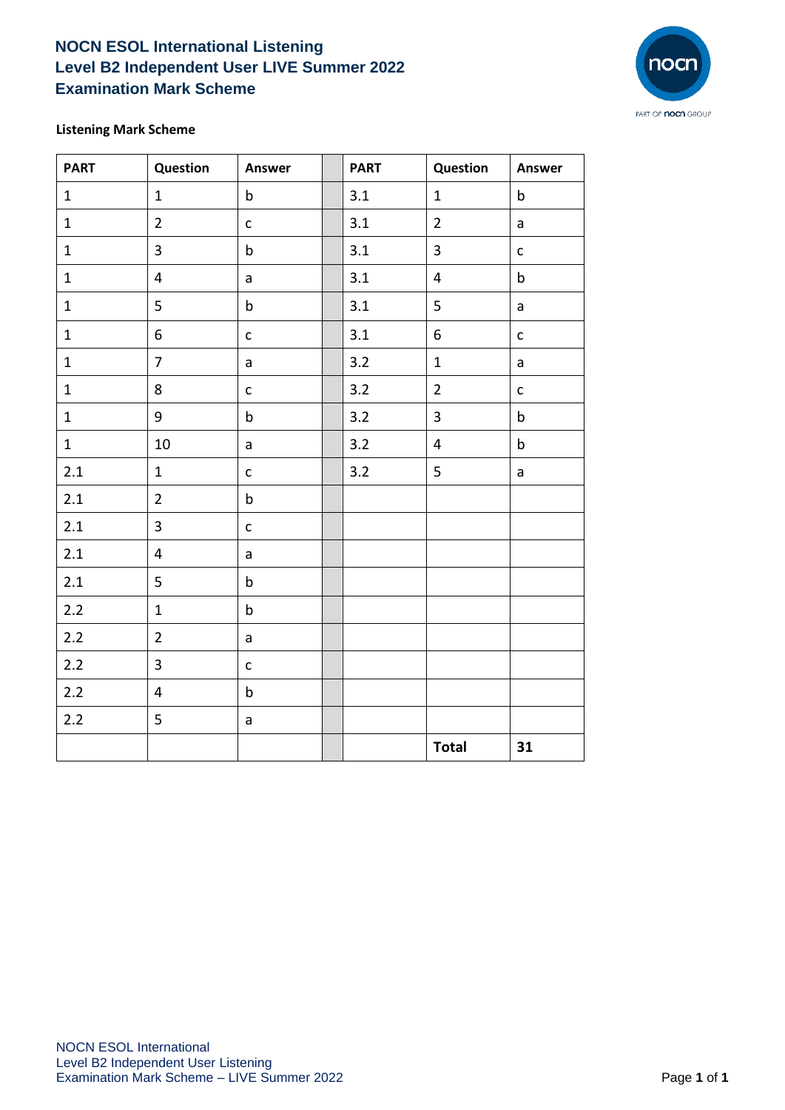## **NOCN ESOL International Listening Level B2 Independent User LIVE Summer 2022 Examination Mark Scheme**



## **Listening Mark Scheme**

| <b>PART</b>  | Question                | Answer       | <b>PART</b> | Question                | Answer       |
|--------------|-------------------------|--------------|-------------|-------------------------|--------------|
| $1\,$        | $\mathbf{1}$            | $\mathsf b$  | 3.1         | $\mathbf{1}$            | $\mathsf b$  |
| $\mathbf{1}$ | $\overline{2}$          | $\mathsf{C}$ | 3.1         | $\overline{2}$          | a            |
| $\mathbf{1}$ | $\overline{3}$          | $\mathsf b$  | 3.1         | $\overline{\mathbf{3}}$ | $\mathsf{C}$ |
| $\mathbf 1$  | $\overline{4}$          | a            | 3.1         | $\overline{\mathbf{4}}$ | $\sf b$      |
| $\mathbf{1}$ | 5                       | $\sf b$      | 3.1         | 5                       | a            |
| $\mathbf{1}$ | 6                       | $\mathsf{C}$ | 3.1         | 6                       | $\mathsf{C}$ |
| $\mathbf 1$  | $\overline{7}$          | a            | 3.2         | $\mathbf 1$             | $\mathsf{a}$ |
| $\mathbf{1}$ | 8                       | $\mathsf{C}$ | 3.2         | $\overline{2}$          | $\mathsf{C}$ |
| $\mathbf 1$  | 9                       | $\mathsf b$  | 3.2         | $\overline{\mathbf{3}}$ | $\mathsf b$  |
| $\mathbf{1}$ | 10                      | $\mathsf{a}$ | 3.2         | $\overline{\mathbf{4}}$ | $\sf b$      |
| $2.1$        | $\mathbf 1$             | $\mathsf{C}$ | 3.2         | 5                       | a            |
| 2.1          | $\overline{2}$          | $\mathsf b$  |             |                         |              |
| 2.1          | $\overline{\mathbf{3}}$ | $\mathsf{C}$ |             |                         |              |
| $2.1\,$      | $\overline{\mathbf{4}}$ | $\mathsf{a}$ |             |                         |              |
| $2.1\,$      | 5                       | $\mathsf b$  |             |                         |              |
| $2.2$        | $\mathbf 1$             | $\mathsf b$  |             |                         |              |
| $2.2$        | $\overline{2}$          | $\mathsf{a}$ |             |                         |              |
| $2.2$        | $\mathbf{3}$            | $\mathsf{C}$ |             |                         |              |
| $2.2$        | $\overline{4}$          | $\mathsf b$  |             |                         |              |
| 2.2          | 5                       | a            |             |                         |              |
|              |                         |              |             | <b>Total</b>            | 31           |